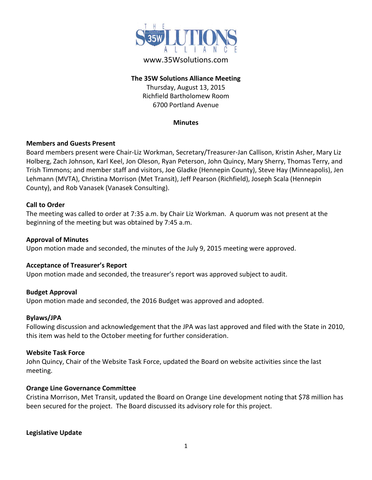

# www.35Wsolutions.com

## **The 35W Solutions Alliance Meeting**

Thursday, August 13, 2015 Richfield Bartholomew Room 6700 Portland Avenue

#### **Minutes**

## **Members and Guests Present**

Board members present were Chair-Liz Workman, Secretary/Treasurer-Jan Callison, Kristin Asher, Mary Liz Holberg, Zach Johnson, Karl Keel, Jon Oleson, Ryan Peterson, John Quincy, Mary Sherry, Thomas Terry, and Trish Timmons; and member staff and visitors, Joe Gladke (Hennepin County), Steve Hay (Minneapolis), Jen Lehmann (MVTA), Christina Morrison (Met Transit), Jeff Pearson (Richfield), Joseph Scala (Hennepin County), and Rob Vanasek (Vanasek Consulting).

## **Call to Order**

The meeting was called to order at 7:35 a.m. by Chair Liz Workman. A quorum was not present at the beginning of the meeting but was obtained by 7:45 a.m.

### **Approval of Minutes**

Upon motion made and seconded, the minutes of the July 9, 2015 meeting were approved.

#### **Acceptance of Treasurer's Report**

Upon motion made and seconded, the treasurer's report was approved subject to audit.

#### **Budget Approval**

Upon motion made and seconded, the 2016 Budget was approved and adopted.

## **Bylaws/JPA**

Following discussion and acknowledgement that the JPA was last approved and filed with the State in 2010, this item was held to the October meeting for further consideration.

### **Website Task Force**

John Quincy, Chair of the Website Task Force, updated the Board on website activities since the last meeting.

## **Orange Line Governance Committee**

Cristina Morrison, Met Transit, updated the Board on Orange Line development noting that \$78 million has been secured for the project. The Board discussed its advisory role for this project.

#### **Legislative Update**